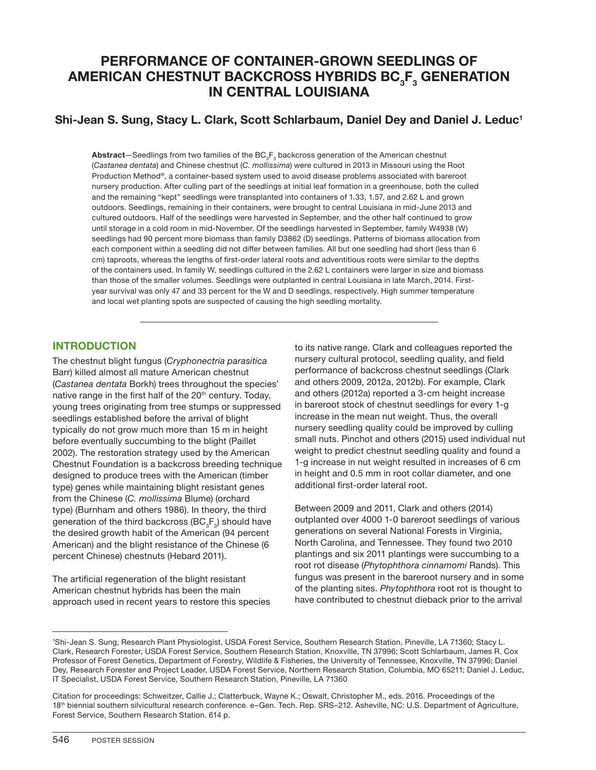# **PERFORMANCE OF CONTAINER-GROWN SEEDLINGS OF AMERICAN CHESTNUT BACKCROSS HYBRIDS BC<sub>3</sub>F<sub>3</sub> GENERATION IN CENTRAL LOUISIANA**

## **Shi-Jean S. Sung, Stacy L. Clark, Scott Schlarbaum, Daniel Dey and Daniel J. Leduc1**

 ${\sf Abstract}-\text{Seedlings}$  from two families of the  $\mathsf{BC}_3\mathsf{F}_3$  backcross generation of the American chestnut (*Castanea dentata*) and Chinese chestnut (*C. mollissima*) were cultured in 2013 in Missouri using the Root Production Method®, a container-based system used to avoid disease problems associated with bareroot nursery production. After culling part of the seedlings at initial leaf formation in a greenhouse, both the culled and the remaining "kept" seedlings were transplanted into containers of 1.33, 1.57, and 2.62 L and grown outdoors. Seedlings, remaining in their containers, were brought to central Louisiana in mid-June 2013 and cultured outdoors. Half of the seedlings were harvested in September, and the other half continued to grow until storage in a cold room in mid-November. Of the seedlings harvested in September, family W4938 (W) seedlings had 90 percent more biomass than family D3862 (D) seedlings. Patterns of biomass allocation from each component within a seedling did not differ between families. All but one seedling had short (less than 6 cm) taproots, whereas the lengths of first-order lateral roots and adventitious roots were similar to the depths of the containers used. In family W, seedlings cultured in the 2.62 L containers were larger in size and biomass than those of the smaller volumes. Seedlings were outplanted in central Louisiana in late March, 2014. Firstyear survival was only 47 and 33 percent for the W and D seedlings, respectively. High summer temperature and local wet planting spots are suspected of causing the high seedling mortality.

## **INTRODUCTION**

The chestnut blight fungus (*Cryphonectria parasitica* Barr) killed almost all mature American chestnut (*Castanea dentata* Borkh) trees throughout the species' native range in the first half of the 20<sup>th</sup> century. Today, young trees originating from tree stumps or suppressed seedlings established before the arrival of blight typically do not grow much more than 15 m in height before eventually succumbing to the blight (Paillet 2002). The restoration strategy used by the American Chestnut Foundation is a backcross breeding technique designed to produce trees with the American (timber type) genes while maintaining blight resistant genes from the Chinese (*C. mollissima* Blume) (orchard type) (Burnham and others 1986). In theory, the third generation of the third backcross (BC $_{3}$ F $_{3}$ ) should have the desired growth habit of the American (94 percent American) and the blight resistance of the Chinese (6 percent Chinese) chestnuts (Hebard 2011).

The artificial regeneration of the blight resistant American chestnut hybrids has been the main approach used in recent years to restore this species to its native range. Clark and colleagues reported the nursery cultural protocol, seedling quality, and field performance of backcross chestnut seedlings (Clark and others 2009, 2012a, 2012b). For example, Clark and others (2012a) reported a 3-cm height increase in bareroot stock of chestnut seedlings for every 1-g increase in the mean nut weight. Thus, the overall nursery seedling quality could be improved by culling small nuts. Pinchot and others (2015) used individual nut weight to predict chestnut seedling quality and found a 1-g increase in nut weight resulted in increases of 6 cm in height and 0.5 mm in root collar diameter, and one additional first-order lateral root.

Between 2009 and 2011, Clark and others (2014) outplanted over 4000 1-0 bareroot seedlings of various generations on several National Forests in Virginia, North Carolina, and Tennessee. They found two 2010 plantings and six 2011 plantings were succumbing to a root rot disease (*Phytophthora cinnamomi* Rands). This fungus was present in the bareroot nursery and in some of the planting sites. *Phytophthora* root rot is thought to have contributed to chestnut dieback prior to the arrival

<sup>1</sup> Shi-Jean S. Sung, Research Plant Physiologist, USDA Forest Service, Southern Research Station, Pineville, LA 71360; Stacy L. Clark, Research Forester, USDA Forest Service, Southern Research Station, Knoxville, TN 37996; Scott Schlarbaum, James R. Cox Professor of Forest Genetics, Department of Forestry, Wildlife & Fisheries, the University of Tennessee, Knoxville, TN 37996; Daniel Dey, Research Forester and Project Leader, USDA Forest Service, Northern Research Station, Columbia, MO 65211; Daniel J. Leduc, IT Specialist, USDA Forest Service, Southern Research Station, Pineville, LA 71360

Citation for proceedings: Schweitzer, Callie J.; Clatterbuck, Wayne K.; Oswalt, Christopher M., eds. 2016. Proceedings of the 18th biennial southern silvicultural research conference. e–Gen. Tech. Rep. SRS–212. Asheville, NC: U.S. Department of Agriculture, Forest Service, Southern Research Station. 614 p.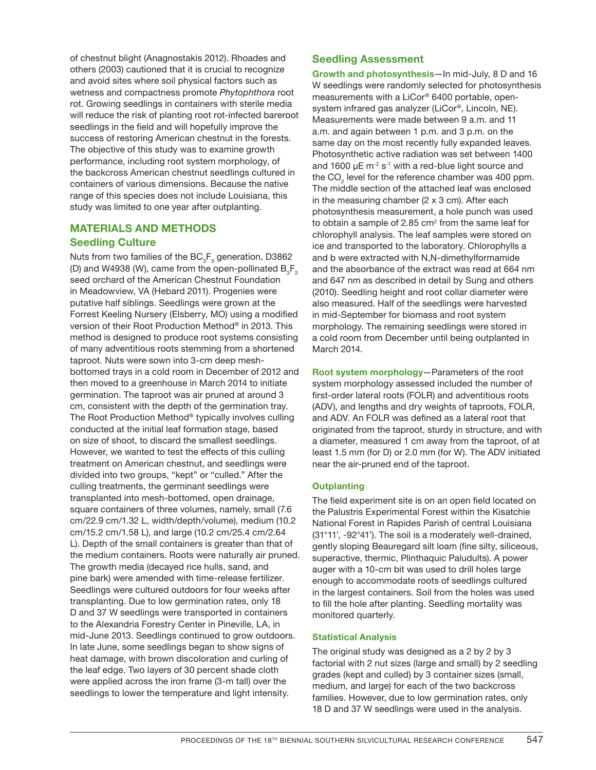of chestnut blight (Anagnostakis 2012). Rhoades and others (2003) cautioned that it is crucial to recognize and avoid sites where soil physical factors such as wetness and compactness promote *Phytophthora* root rot. Growing seedlings in containers with sterile media will reduce the risk of planting root rot-infected bareroot seedlings in the field and will hopefully improve the success of restoring American chestnut in the forests. The objective of this study was to examine growth performance, including root system morphology, of the backcross American chestnut seedlings cultured in containers of various dimensions. Because the native range of this species does not include Louisiana, this study was limited to one year after outplanting.

## **MATERIALS AND METHODS Seedling Culture**

Nuts from two families of the  $\mathsf{BC}_3\mathsf{F}_3$  generation, D3862 (D) and W4938 (W), came from the open-pollinated  $B_5F_2$ seed orchard of the American Chestnut Foundation in Meadowview, VA (Hebard 2011). Progenies were putative half siblings. Seedlings were grown at the Forrest Keeling Nursery (Elsberry, MO) using a modified version of their Root Production Method® in 2013. This method is designed to produce root systems consisting of many adventitious roots stemming from a shortened taproot. Nuts were sown into 3-cm deep meshbottomed trays in a cold room in December of 2012 and then moved to a greenhouse in March 2014 to initiate germination. The taproot was air pruned at around 3 cm, consistent with the depth of the germination tray. The Root Production Method® typically involves culling conducted at the initial leaf formation stage, based on size of shoot, to discard the smallest seedlings. However, we wanted to test the effects of this culling treatment on American chestnut, and seedlings were divided into two groups, "kept" or "culled." After the culling treatments, the germinant seedlings were transplanted into mesh-bottomed, open drainage, square containers of three volumes, namely, small (7.6 cm/22.9 cm/1.32 L, width/depth/volume), medium (10.2 cm/15.2 cm/1.58 L), and large (10.2 cm/25.4 cm/2.64 L). Depth of the small containers is greater than that of the medium containers. Roots were naturally air pruned. The growth media (decayed rice hulls, sand, and pine bark) were amended with time-release fertilizer. Seedlings were cultured outdoors for four weeks after transplanting. Due to low germination rates, only 18 D and 37 W seedlings were transported in containers to the Alexandria Forestry Center in Pineville, LA, in mid-June 2013. Seedlings continued to grow outdoors. In late June, some seedlings began to show signs of heat damage, with brown discoloration and curling of the leaf edge. Two layers of 30 percent shade cloth were applied across the iron frame (3-m tall) over the seedlings to lower the temperature and light intensity.

## **Seedling Assessment**

**Growth and photosynthesis**—In mid-July, 8 D and 16 W seedlings were randomly selected for photosynthesis measurements with a LiCor® 6400 portable, opensystem infrared gas analyzer (LiCor®, Lincoln, NE). Measurements were made between 9 a.m. and 11 a.m. and again between 1 p.m. and 3 p.m. on the same day on the most recently fully expanded leaves. Photosynthetic active radiation was set between 1400 and 1600  $\mu$ E m<sup>-2</sup> s<sup>-1</sup> with a red-blue light source and the CO $_{\tiny 2}$  level for the reference chamber was 400 ppm. The middle section of the attached leaf was enclosed in the measuring chamber (2 x 3 cm). After each photosynthesis measurement, a hole punch was used to obtain a sample of 2.85 cm $^{\circ}$  from the same leaf for chlorophyll analysis. The leaf samples were stored on ice and transported to the laboratory. Chlorophylls a and b were extracted with N,N-dimethylformamide and the absorbance of the extract was read at 664 nm and 647 nm as described in detail by Sung and others (2010). Seedling height and root collar diameter were also measured. Half of the seedlings were harvested in mid-September for biomass and root system morphology. The remaining seedlings were stored in a cold room from December until being outplanted in March 2014.

**Root system morphology**—Parameters of the root system morphology assessed included the number of first-order lateral roots (FOLR) and adventitious roots (ADV), and lengths and dry weights of taproots, FOLR, and ADV. An FOLR was defined as a lateral root that originated from the taproot, sturdy in structure, and with a diameter, measured 1 cm away from the taproot, of at least 1.5 mm (for D) or 2.0 mm (for W). The ADV initiated near the air-pruned end of the taproot.

#### **Outplanting**

The field experiment site is on an open field located on the Palustris Experimental Forest within the Kisatchie National Forest in Rapides Parish of central Louisiana (31°11', -92°41'). The soil is a moderately well-drained, gently sloping Beauregard silt loam (fine silty, siliceous, superactive, thermic, Plinthaquic Paludults). A power auger with a 10-cm bit was used to drill holes large enough to accommodate roots of seedlings cultured in the largest containers. Soil from the holes was used to fill the hole after planting. Seedling mortality was monitored quarterly.

#### **Statistical Analysis**

The original study was designed as a 2 by 2 by 3 factorial with 2 nut sizes (large and small) by 2 seedling grades (kept and culled) by 3 container sizes (small, medium, and large) for each of the two backcross families. However, due to low germination rates, only 18 D and 37 W seedlings were used in the analysis.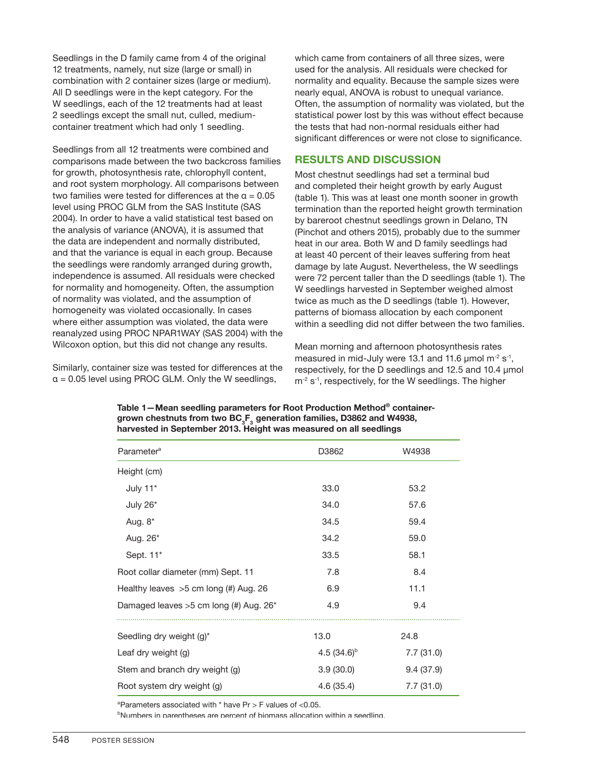Seedlings in the D family came from 4 of the original 12 treatments, namely, nut size (large or small) in combination with 2 container sizes (large or medium). All D seedlings were in the kept category. For the W seedlings, each of the 12 treatments had at least 2 seedlings except the small nut, culled, mediumcontainer treatment which had only 1 seedling.

Seedlings from all 12 treatments were combined and comparisons made between the two backcross families for growth, photosynthesis rate, chlorophyll content, and root system morphology. All comparisons between two families were tested for differences at the  $\alpha = 0.05$ level using PROC GLM from the SAS Institute (SAS 2004). In order to have a valid statistical test based on the analysis of variance (ANOVA), it is assumed that the data are independent and normally distributed, and that the variance is equal in each group. Because the seedlings were randomly arranged during growth, independence is assumed. All residuals were checked for normality and homogeneity. Often, the assumption of normality was violated, and the assumption of homogeneity was violated occasionally. In cases where either assumption was violated, the data were reanalyzed using PROC NPAR1WAY (SAS 2004) with the Wilcoxon option, but this did not change any results.

Similarly, container size was tested for differences at the  $a = 0.05$  level using PROC GLM. Only the W seedlings,

which came from containers of all three sizes, were used for the analysis. All residuals were checked for normality and equality. Because the sample sizes were nearly equal, ANOVA is robust to unequal variance. Often, the assumption of normality was violated, but the statistical power lost by this was without effect because the tests that had non-normal residuals either had significant differences or were not close to significance.

### **RESULTS AND DISCUSSION**

Most chestnut seedlings had set a terminal bud and completed their height growth by early August (table 1). This was at least one month sooner in growth termination than the reported height growth termination by bareroot chestnut seedlings grown in Delano, TN (Pinchot and others 2015), probably due to the summer heat in our area. Both W and D family seedlings had at least 40 percent of their leaves suffering from heat damage by late August. Nevertheless, the W seedlings were 72 percent taller than the D seedlings (table 1). The W seedlings harvested in September weighed almost twice as much as the D seedlings (table 1). However, patterns of biomass allocation by each component within a seedling did not differ between the two families.

Mean morning and afternoon photosynthesis rates measured in mid-July were 13.1 and 11.6  $\mu$ mol m<sup>-2</sup> s<sup>-1</sup>, respectively, for the D seedlings and 12.5 and 10.4 µmol  $m<sup>-2</sup> s<sup>-1</sup>$ , respectively, for the W seedlings. The higher

| Parameter <sup>a</sup>                   | D3862                  | W4938     |  |
|------------------------------------------|------------------------|-----------|--|
| Height (cm)                              |                        |           |  |
| July 11*                                 | 33.0<br>53.2           |           |  |
| July 26*                                 | 34.0                   | 57.6      |  |
| Aug. 8*                                  | 34.5                   | 59.4      |  |
| Aug. 26 <sup>*</sup>                     | 34.2                   | 59.0      |  |
| Sept. 11*                                | 33.5                   | 58.1      |  |
| Root collar diameter (mm) Sept. 11       | 7.8                    | 8.4       |  |
| Healthy leaves $>5$ cm long (#) Aug. 26  | 6.9                    | 11.1      |  |
| Damaged leaves $>5$ cm long (#) Aug. 26* | 4.9                    | 9.4       |  |
| Seedling dry weight (g)*                 | 13.0                   | 24.8      |  |
| Leaf dry weight (g)                      | 4.5 $(34.6)^{b}$       | 7.7(31.0) |  |
| Stem and branch dry weight (g)           | 3.9(30.0)<br>9.4(37.9) |           |  |
| Root system dry weight (g)               | 4.6(35.4)              | 7.7(31.0) |  |

**Table 1—Mean seedling parameters for Root Production Method® container**grown chestnuts from two BC<sub>3</sub>F<sub>3</sub> generation families, D3862 and W4938, **harvested in September 2013. Height was measured on all seedlings** 

a Parameters associated with \* have Pr > F values of <0.05.

b Numbers in parentheses are percent of biomass allocation within a seedling.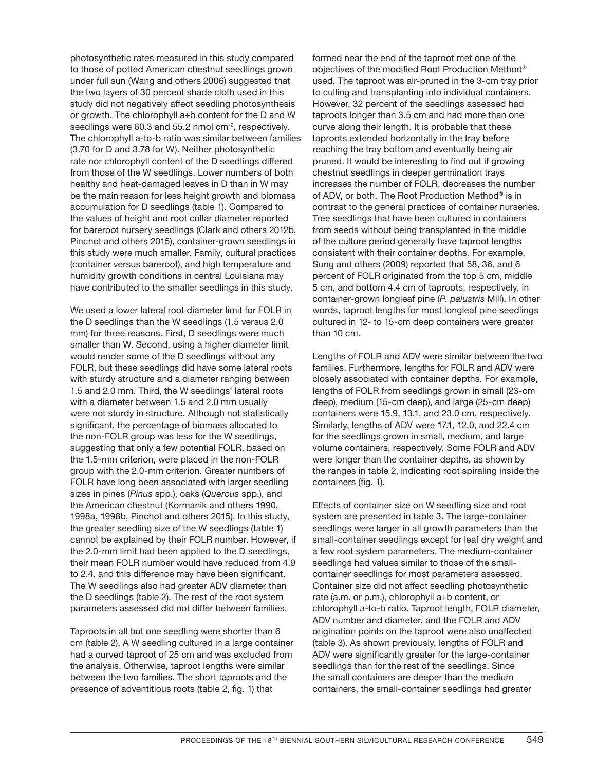photosynthetic rates measured in this study compared to those of potted American chestnut seedlings grown under full sun (Wang and others 2006) suggested that the two layers of 30 percent shade cloth used in this study did not negatively affect seedling photosynthesis or growth. The chlorophyll a+b content for the D and W seedlings were 60.3 and 55.2 nmol cm<sup>-2</sup>, respectively. The chlorophyll a-to-b ratio was similar between families (3.70 for D and 3.78 for W). Neither photosynthetic rate nor chlorophyll content of the D seedlings differed from those of the W seedlings. Lower numbers of both healthy and heat-damaged leaves in D than in W may be the main reason for less height growth and biomass accumulation for D seedlings (table 1). Compared to the values of height and root collar diameter reported for bareroot nursery seedlings (Clark and others 2012b, Pinchot and others 2015), container-grown seedlings in this study were much smaller. Family, cultural practices (container versus bareroot), and high temperature and humidity growth conditions in central Louisiana may have contributed to the smaller seedlings in this study.

We used a lower lateral root diameter limit for FOLR in the D seedlings than the W seedlings (1.5 versus 2.0 mm) for three reasons. First, D seedlings were much smaller than W. Second, using a higher diameter limit would render some of the D seedlings without any FOLR, but these seedlings did have some lateral roots with sturdy structure and a diameter ranging between 1.5 and 2.0 mm. Third, the W seedlings' lateral roots with a diameter between 1.5 and 2.0 mm usually were not sturdy in structure. Although not statistically significant, the percentage of biomass allocated to the non-FOLR group was less for the W seedlings, suggesting that only a few potential FOLR, based on the 1.5-mm criterion, were placed in the non-FOLR group with the 2.0-mm criterion. Greater numbers of FOLR have long been associated with larger seedling sizes in pines (*Pinus* spp.), oaks (*Quercus* spp.), and the American chestnut (Kormanik and others 1990, 1998a, 1998b, Pinchot and others 2015). In this study, the greater seedling size of the W seedlings (table 1) cannot be explained by their FOLR number. However, if the 2.0-mm limit had been applied to the D seedlings, their mean FOLR number would have reduced from 4.9 to 2.4, and this difference may have been significant. The W seedlings also had greater ADV diameter than the D seedlings (table 2). The rest of the root system parameters assessed did not differ between families.

Taproots in all but one seedling were shorter than 6 cm (table 2). A W seedling cultured in a large container had a curved taproot of 25 cm and was excluded from the analysis. Otherwise, taproot lengths were similar between the two families. The short taproots and the presence of adventitious roots (table 2, fig. 1) that

formed near the end of the taproot met one of the objectives of the modified Root Production Method® used. The taproot was air-pruned in the 3-cm tray prior to culling and transplanting into individual containers. However, 32 percent of the seedlings assessed had taproots longer than 3.5 cm and had more than one curve along their length. It is probable that these taproots extended horizontally in the tray before reaching the tray bottom and eventually being air pruned. It would be interesting to find out if growing chestnut seedlings in deeper germination trays increases the number of FOLR, decreases the number of ADV, or both. The Root Production Method® is in contrast to the general practices of container nurseries. Tree seedlings that have been cultured in containers from seeds without being transplanted in the middle of the culture period generally have taproot lengths consistent with their container depths. For example, Sung and others (2009) reported that 58, 36, and 6 percent of FOLR originated from the top 5 cm, middle 5 cm, and bottom 4.4 cm of taproots, respectively, in container-grown longleaf pine (*P. palustris* Mill). In other words, taproot lengths for most longleaf pine seedlings cultured in 12- to 15-cm deep containers were greater than 10 cm.

Lengths of FOLR and ADV were similar between the two families. Furthermore, lengths for FOLR and ADV were closely associated with container depths. For example, lengths of FOLR from seedlings grown in small (23-cm deep), medium (15-cm deep), and large (25-cm deep) containers were 15.9, 13.1, and 23.0 cm, respectively. Similarly, lengths of ADV were 17.1, 12.0, and 22.4 cm for the seedlings grown in small, medium, and large volume containers, respectively. Some FOLR and ADV were longer than the container depths, as shown by the ranges in table 2, indicating root spiraling inside the containers (fig. 1).

Effects of container size on W seedling size and root system are presented in table 3. The large-container seedlings were larger in all growth parameters than the small-container seedlings except for leaf dry weight and a few root system parameters. The medium-container seedlings had values similar to those of the smallcontainer seedlings for most parameters assessed. Container size did not affect seedling photosynthetic rate (a.m. or p.m.), chlorophyll a+b content, or chlorophyll a-to-b ratio. Taproot length, FOLR diameter, ADV number and diameter, and the FOLR and ADV origination points on the taproot were also unaffected (table 3). As shown previously, lengths of FOLR and ADV were significantly greater for the large-container seedlings than for the rest of the seedlings. Since the small containers are deeper than the medium containers, the small-container seedlings had greater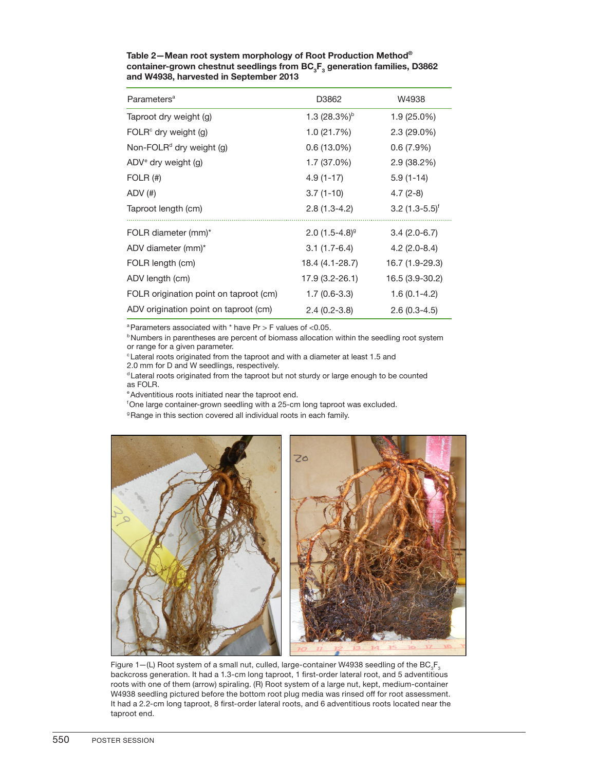| Parameters <sup>a</sup>                | D3862                  | W4938                        |
|----------------------------------------|------------------------|------------------------------|
| Taproot dry weight (g)                 | 1.3 $(28.3\%)^{\circ}$ | 1.9 (25.0%)                  |
| $FOLRc$ dry weight (g)                 | 1.0 (21.7%)            | $2.3(29.0\%)$                |
| Non-FOLR <sup>d</sup> dry weight (g)   | $0.6(13.0\%)$          | 0.6(7.9%)                    |
| $ADVe$ dry weight (g)                  | 1.7 (37.0%)            | 2.9(38.2%)                   |
| FOLR $($ #)                            | $4.9(1-17)$            | $5.9(1-14)$                  |
| $ADV$ $(#)$                            | $3.7(1-10)$            | $4.7(2-8)$                   |
| Taproot length (cm)                    | $2.8(1.3-4.2)$         | $3.2$ (1.3-5.5) <sup>†</sup> |
| FOLR diameter (mm)*                    | $2.0(1.5-4.8)^{9}$     | $3.4(2.0-6.7)$               |
| ADV diameter (mm)*                     | $3.1(1.7-6.4)$         | $4.2(2.0-8.4)$               |
| FOLR length (cm)                       | 18.4 (4.1-28.7)        | 16.7 (1.9-29.3)              |
| ADV length (cm)                        | 17.9 (3.2-26.1)        | 16.5 (3.9-30.2)              |
| FOLR origination point on taproot (cm) | $1.7(0.6-3.3)$         | $1.6(0.1-4.2)$               |
| ADV origination point on taproot (cm)  | $2.4(0.2-3.8)$         | $2.6(0.3-4.5)$               |

**Table 2— Mean root system morphology of Root Production Method® container-grown chestnut seedlings from BC<sub>3</sub>F<sub>3</sub> generation families, D3862 and W4938, harvested in September 2013**

 $a$ Parameters associated with  $*$  have Pr > F values of <0.05.

**bNumbers in parentheses are percent of biomass allocation within the seedling root system** or range for a given parameter.

cLateral roots originated from the taproot and with a diameter at least 1.5 and

2.0 mm for D and W seedlings, respectively.

<sup>d</sup> Lateral roots originated from the taproot but not sturdy or large enough to be counted as FOLR.

e Adventitious roots initiated near the taproot end.

f One large container-grown seedling with a 25-cm long taproot was excluded.

<sup>9</sup> Range in this section covered all individual roots in each family.



Figure  $1-(L)$  Root system of a small nut, culled, large-container W4938 seedling of the BC<sub>3</sub>F<sub>3</sub> backcross generation. It had a 1.3-cm long taproot, 1 first-order lateral root, and 5 adventitious roots with one of them (arrow) spiraling. (R) Root system of a large nut, kept, medium-container W4938 seedling pictured before the bottom root plug media was rinsed off for root assessment. It had a 2.2-cm long taproot, 8 first-order lateral roots, and 6 adventitious roots located near the taproot end.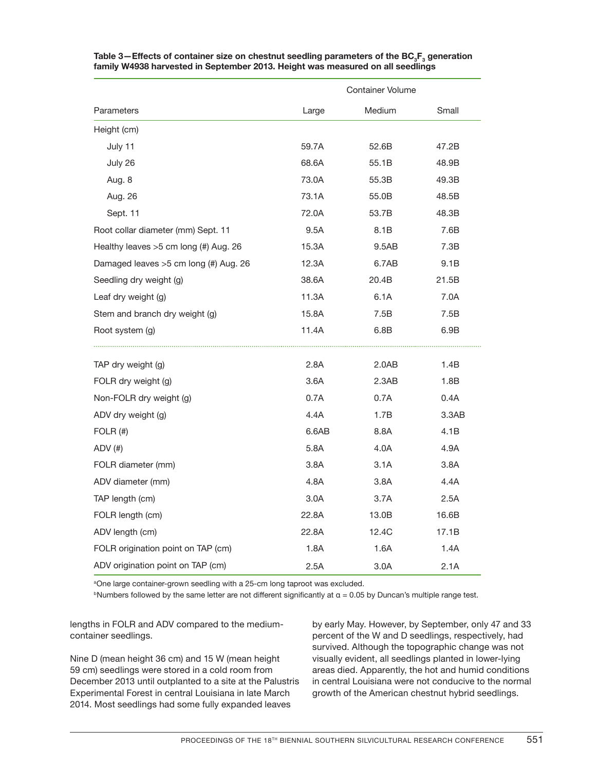|                                         | <b>Container Volume</b> |        |       |
|-----------------------------------------|-------------------------|--------|-------|
| Parameters                              | Large                   | Medium | Small |
| Height (cm)                             |                         |        |       |
| July 11                                 | 59.7A                   | 52.6B  | 47.2B |
| July 26                                 | 68.6A                   | 55.1B  | 48.9B |
| Aug. 8                                  | 73.0A                   | 55.3B  | 49.3B |
| Aug. 26                                 | 73.1A                   | 55.0B  | 48.5B |
| Sept. 11                                | 72.0A                   | 53.7B  | 48.3B |
| Root collar diameter (mm) Sept. 11      | 9.5A                    | 8.1B   | 7.6B  |
| Healthy leaves $>5$ cm long (#) Aug. 26 | 15.3A                   | 9.5AB  | 7.3B  |
| Damaged leaves $>5$ cm long (#) Aug. 26 | 12.3A                   | 6.7AB  | 9.1B  |
| Seedling dry weight (g)                 | 38.6A                   | 20.4B  | 21.5B |
| Leaf dry weight (g)                     | 11.3A                   | 6.1A   | 7.0A  |
| Stem and branch dry weight (g)          | 15.8A                   | 7.5B   | 7.5B  |
| Root system (g)                         | 11.4A                   | 6.8B   | 6.9B  |
|                                         |                         |        |       |
| TAP dry weight (g)                      | 2.8A                    | 2.0AB  | 1.4B  |
| FOLR dry weight (g)                     | 3.6A                    | 2.3AB  | 1.8B  |
| Non-FOLR dry weight (g)                 | 0.7A                    | 0.7A   | 0.4A  |
| ADV dry weight (g)                      | 4.4A                    | 1.7B   | 3.3AB |
| FOLR $($ #)                             | 6.6AB                   | 8.8A   | 4.1B  |
| $ADV$ $(#)$                             | 5.8A                    | 4.0A   | 4.9A  |
| FOLR diameter (mm)                      | 3.8A                    | 3.1A   | 3.8A  |
| ADV diameter (mm)                       | 4.8A                    | 3.8A   | 4.4A  |
| TAP length (cm)                         | 3.0A                    | 3.7A   | 2.5A  |
| FOLR length (cm)                        | 22.8A                   | 13.0B  | 16.6B |
| ADV length (cm)                         | 22.8A                   | 12.4C  | 17.1B |
| FOLR origination point on TAP (cm)      | 1.8A                    | 1.6A   | 1.4A  |
| ADV origination point on TAP (cm)       | 2.5A                    | 3.0A   | 2.1A  |

Table 3—Effects of container size on chestnut seedling parameters of the BC<sub>3</sub>F<sub>3</sub> generation **family W4938 harvested in September 2013. Height was measured on all seedlings** 

aOne large container-grown seedling with a 25-cm long taproot was excluded.

 $b$ Numbers followed by the same letter are not different significantly at α = 0.05 by Duncan's multiple range test.

lengths in FOLR and ADV compared to the mediumcontainer seedlings.

Nine D (mean height 36 cm) and 15 W (mean height 59 cm) seedlings were stored in a cold room from December 2013 until outplanted to a site at the Palustris Experimental Forest in central Louisiana in late March 2014. Most seedlings had some fully expanded leaves

by early May. However, by September, only 47 and 33 percent of the W and D seedlings, respectively, had survived. Although the topographic change was not visually evident, all seedlings planted in lower-lying areas died. Apparently, the hot and humid conditions in central Louisiana were not conducive to the normal growth of the American chestnut hybrid seedlings.